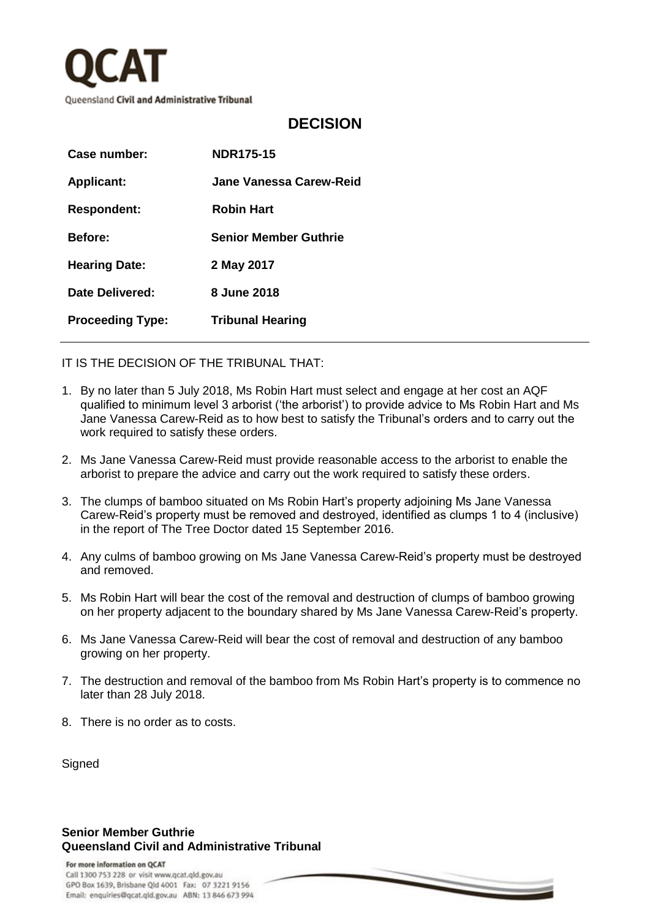

## **DECISION**

| Case number:            | <b>NDR175-15</b>             |
|-------------------------|------------------------------|
| <b>Applicant:</b>       | Jane Vanessa Carew-Reid      |
| <b>Respondent:</b>      | <b>Robin Hart</b>            |
| <b>Before:</b>          | <b>Senior Member Guthrie</b> |
| <b>Hearing Date:</b>    | 2 May 2017                   |
| Date Delivered:         | 8 June 2018                  |
| <b>Proceeding Type:</b> | <b>Tribunal Hearing</b>      |
|                         |                              |

IT IS THE DECISION OF THE TRIBUNAL THAT:

- 1. By no later than 5 July 2018, Ms Robin Hart must select and engage at her cost an AQF qualified to minimum level 3 arborist ('the arborist') to provide advice to Ms Robin Hart and Ms Jane Vanessa Carew-Reid as to how best to satisfy the Tribunal's orders and to carry out the work required to satisfy these orders.
- 2. Ms Jane Vanessa Carew-Reid must provide reasonable access to the arborist to enable the arborist to prepare the advice and carry out the work required to satisfy these orders.
- 3. The clumps of bamboo situated on Ms Robin Hart's property adjoining Ms Jane Vanessa Carew-Reid's property must be removed and destroyed, identified as clumps 1 to 4 (inclusive) in the report of The Tree Doctor dated 15 September 2016.
- 4. Any culms of bamboo growing on Ms Jane Vanessa Carew-Reid's property must be destroyed and removed.
- 5. Ms Robin Hart will bear the cost of the removal and destruction of clumps of bamboo growing on her property adjacent to the boundary shared by Ms Jane Vanessa Carew-Reid's property.
- 6. Ms Jane Vanessa Carew-Reid will bear the cost of removal and destruction of any bamboo growing on her property.
- 7. The destruction and removal of the bamboo from Ms Robin Hart's property is to commence no later than 28 July 2018.

 $\,$ 

8. There is no order as to costs.

**Signed** 

## **Senior Member Guthrie Queensland Civil and Administrative Tribunal**